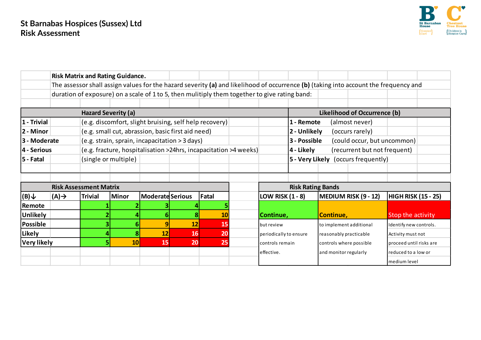

|                            |                                                                  | <b>Risk Matrix and Rating Guidance.</b>                                                                                                                                                                                               |                      |                         |                                                        |           |  |                                            |                                             |                        |                         |                            |  |
|----------------------------|------------------------------------------------------------------|---------------------------------------------------------------------------------------------------------------------------------------------------------------------------------------------------------------------------------------|----------------------|-------------------------|--------------------------------------------------------|-----------|--|--------------------------------------------|---------------------------------------------|------------------------|-------------------------|----------------------------|--|
|                            |                                                                  | The assessor shall assign values for the hazard severity (a) and likelihood of occurrence (b) (taking into account the frequency and<br>duration of exposure) on a scale of 1 to 5, then mulitiply them together to give rating band: |                      |                         |                                                        |           |  |                                            |                                             |                        |                         |                            |  |
|                            |                                                                  |                                                                                                                                                                                                                                       |                      |                         |                                                        |           |  |                                            |                                             |                        |                         |                            |  |
|                            |                                                                  |                                                                                                                                                                                                                                       |                      |                         |                                                        |           |  |                                            |                                             |                        |                         |                            |  |
| <b>Hazard Severity (a)</b> |                                                                  |                                                                                                                                                                                                                                       |                      |                         |                                                        |           |  | Likelihood of Occurrence (b)               |                                             |                        |                         |                            |  |
| 1 - Trivial                |                                                                  |                                                                                                                                                                                                                                       |                      |                         | (e.g. discomfort, slight bruising, self help recovery) |           |  |                                            | 1 - Remote<br>(almost never)                |                        |                         |                            |  |
| 2 - Minor                  |                                                                  |                                                                                                                                                                                                                                       |                      |                         | (e.g. small cut, abrassion, basic first aid need)      |           |  |                                            | 2 - Unlikely<br>(occurs rarely)             |                        |                         |                            |  |
| 3 - Moderate               |                                                                  | (e.g. strain, sprain, incapacitation > 3 days)                                                                                                                                                                                        |                      |                         |                                                        |           |  |                                            | 3 - Possible<br>(could occur, but uncommon) |                        |                         |                            |  |
| 4 - Serious                | (e.g. fracture, hospitalisation >24hrs, incapacitation >4 weeks) |                                                                                                                                                                                                                                       |                      |                         |                                                        |           |  | 4 - Likely<br>(recurrent but not frequent) |                                             |                        |                         |                            |  |
| 5 - Fatal                  |                                                                  |                                                                                                                                                                                                                                       | (single or multiple) |                         |                                                        |           |  |                                            | 5 - Very Likely (occurs frequently)         |                        |                         |                            |  |
|                            |                                                                  |                                                                                                                                                                                                                                       |                      |                         |                                                        |           |  |                                            |                                             |                        |                         |                            |  |
|                            |                                                                  |                                                                                                                                                                                                                                       |                      |                         |                                                        |           |  |                                            |                                             |                        |                         |                            |  |
|                            |                                                                  | <b>Risk Assessment Matrix</b>                                                                                                                                                                                                         |                      |                         |                                                        |           |  | <b>Risk Rating Bands</b>                   |                                             |                        |                         |                            |  |
| $ (B)\downarrow$           | $(A) \rightarrow$                                                | <b>Trivial</b>                                                                                                                                                                                                                        | <b>Minor</b>         | <b>Moderate Serious</b> |                                                        | Fatal     |  | <b>LOW RISK (1 - 8)</b>                    |                                             |                        | MEDIUM RISK (9 - 12)    | <b>HIGH RISK (15 - 25)</b> |  |
| Remote                     |                                                                  |                                                                                                                                                                                                                                       |                      |                         |                                                        |           |  |                                            |                                             |                        |                         |                            |  |
| <b>Unlikely</b>            |                                                                  |                                                                                                                                                                                                                                       |                      |                         |                                                        | <b>10</b> |  | Continue,                                  |                                             | Continue,              |                         | Stop the activity          |  |
| <b>Possible</b>            |                                                                  |                                                                                                                                                                                                                                       | 61                   |                         | 12                                                     | 15        |  | but review                                 |                                             |                        | to implement additional | Identify new controls.     |  |
| Likely                     |                                                                  |                                                                                                                                                                                                                                       |                      | 12                      | <b>16</b>                                              | 20        |  | periodically to ensure                     |                                             | reasonably practicable |                         | Activity must not          |  |
| <b>Very likely</b>         |                                                                  |                                                                                                                                                                                                                                       | 10 <sup>1</sup>      | 15                      | 20 <sup>1</sup>                                        | 25        |  | controls remain                            |                                             |                        | controls where possible | Iproceed until risks are   |  |
|                            |                                                                  |                                                                                                                                                                                                                                       |                      |                         |                                                        |           |  | effective.                                 |                                             | and monitor regularly  |                         | reduced to a low or        |  |
|                            |                                                                  |                                                                                                                                                                                                                                       |                      |                         |                                                        |           |  |                                            |                                             |                        |                         | medium level               |  |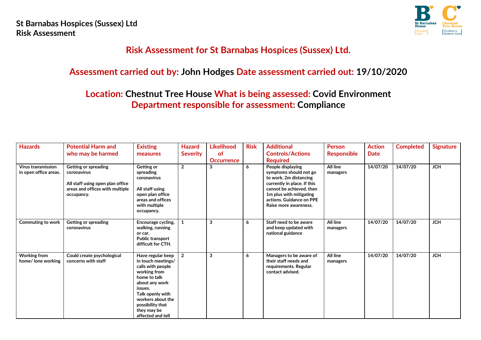

# **Risk Assessment for St Barnabas Hospices (Sussex) Ltd.**

## **Assessment carried out by: John Hodges Date assessment carried out: 19/10/2020**

# **Location: Chestnut Tree House What is being assessed: Covid Environment Department responsible for assessment: Compliance**

| <b>Hazards</b>                                     | <b>Potential Harm and</b><br>who may be harmed                                                                           | <b>Existing</b><br>measures                                                                                                                                                                                                | <b>Hazard</b><br><b>Severity</b> | <b>Likelihood</b><br><b>of</b><br><b>Occurrence</b> | <b>Risk</b> | <b>Additional</b><br><b>Controls/Actions</b><br><b>Required</b>                                                                                                                                                  | <b>Person</b><br><b>Responsible</b> | <b>Action</b><br>Date | <b>Completed</b> | <b>Signature</b> |
|----------------------------------------------------|--------------------------------------------------------------------------------------------------------------------------|----------------------------------------------------------------------------------------------------------------------------------------------------------------------------------------------------------------------------|----------------------------------|-----------------------------------------------------|-------------|------------------------------------------------------------------------------------------------------------------------------------------------------------------------------------------------------------------|-------------------------------------|-----------------------|------------------|------------------|
| <b>Virus transmission</b><br>in open office areas. | Getting or spreading<br>coronavirus<br>All staff using open plan office<br>areas and offices with multiple<br>occupancy. | Getting or<br>spreading<br>coronavirus<br>All staff using<br>open plan office<br>areas and offices<br>with multiple<br>occupancy.                                                                                          | $\overline{2}$                   | 3                                                   | 6           | People displaying<br>symptoms should not go<br>to work. 2m distancing<br>currently in place. If this<br>cannot be achieved, then<br>1m plus with mitigating<br>actions. Guidance on PPE<br>Raise more awareness. | All line<br>managers                | 14/07/20              | 14/07/20         | <b>JCH</b>       |
| <b>Commuting to work</b>                           | Getting or spreading<br>coronavirus                                                                                      | Encourage cycling,<br>walking, running<br>or car.<br><b>Public transport</b><br>difficult for CTH.                                                                                                                         |                                  | 3                                                   | 6           | Staff need to be aware<br>and keep updated with<br>national guidance                                                                                                                                             | All line<br>managers                | 14/07/20              | 14/07/20         | <b>JCH</b>       |
| <b>Working from</b><br>home/ lone working          | Could create psychological<br>concerns with staff                                                                        | Have regular keep<br>in touch meetings/<br>calls with people<br>working from<br>home to talk<br>about any work<br>issues.<br>Talk openly with<br>workers about the<br>possibility that<br>they may be<br>affected and tell | $\overline{2}$                   | 3                                                   | 6           | Managers to be aware of<br>their staff needs and<br>requirements. Regular<br>contact advised.                                                                                                                    | All line<br>managers                | 14/07/20              | 14/07/20         | <b>JCH</b>       |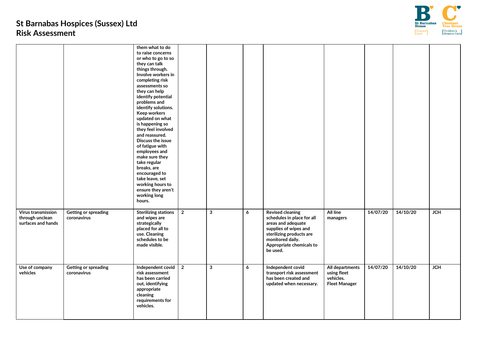

|                                                             |                                            | them what to do<br>to raise concerns<br>or who to go to so<br>they can talk<br>things through.<br>Involve workers in<br>completing risk<br>assessments so<br>they can help<br>identify potential<br>problems and<br>identify solutions.<br>Keep workers<br>updated on what<br>is happening so<br>they feel involved<br>and reassured.<br>Discuss the issue<br>of fatigue with<br>employees and<br>make sure they<br>take regular<br>breaks, are<br>encouraged to<br>take leave, set<br>working hours to<br>ensure they aren't<br>working long |                |              |   |                                                                                                                                                                                              |                                                                     |          |          |                  |
|-------------------------------------------------------------|--------------------------------------------|-----------------------------------------------------------------------------------------------------------------------------------------------------------------------------------------------------------------------------------------------------------------------------------------------------------------------------------------------------------------------------------------------------------------------------------------------------------------------------------------------------------------------------------------------|----------------|--------------|---|----------------------------------------------------------------------------------------------------------------------------------------------------------------------------------------------|---------------------------------------------------------------------|----------|----------|------------------|
| Virus transmission<br>through unclean<br>surfaces and hands | <b>Getting or spreading</b><br>coronavirus | <b>Sterilizing stations</b><br>and wipes are<br>strategically<br>placed for all to<br>use. Cleaning<br>schedules to be<br>made visible.                                                                                                                                                                                                                                                                                                                                                                                                       | $\overline{2}$ | $\mathbf{3}$ | 6 | <b>Revised cleaning</b><br>schedules in place for all<br>areas and adequate<br>supplies of wipes and<br>sterilizing products are<br>monitored daily.<br>Appropriate chemicals to<br>be used. | All line<br>managers                                                | 14/07/20 | 14/10/20 | <b>JCH</b>       |
| Use of company<br>vehicles                                  | <b>Getting or spreading</b><br>coronavirus | Independent covid<br>risk assessment<br>has been carried<br>out, identifying<br>appropriate<br>cleaning<br>requirements for<br>vehicles.                                                                                                                                                                                                                                                                                                                                                                                                      | $\overline{2}$ | $\mathbf{3}$ | 6 | Independent covid<br>transport risk assessment<br>has been created and<br>updated when necessary.                                                                                            | All departments<br>using fleet<br>vehicles.<br><b>Fleet Manager</b> | 14/07/20 | 14/10/20 | $\overline{JCH}$ |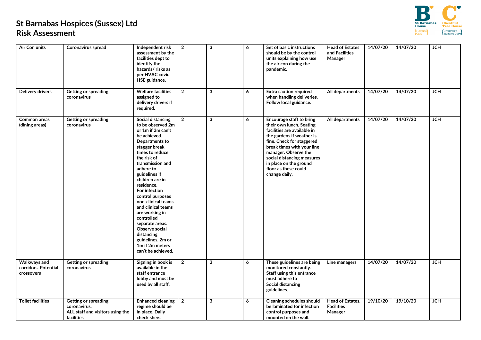

| Air Con units                                             | Coronavirus spread                                                                     | Independent risk<br>assessment by the<br>facilities dept to<br>identify the<br>hazards/risks as<br>per HVAC covid<br>HSE guidance.                                                                                                                                                                                                                                                                                                                                           | $\overline{2}$ | 3 | 6 | Set of basic instructions<br>should be by the control<br>units explaining how use<br>the air con during the<br>pandemic.                                                                                                                                                                             | <b>Head of Estates</b><br>and Facilities<br>Manager     | 14/07/20 | 14/07/20 | <b>JCH</b> |
|-----------------------------------------------------------|----------------------------------------------------------------------------------------|------------------------------------------------------------------------------------------------------------------------------------------------------------------------------------------------------------------------------------------------------------------------------------------------------------------------------------------------------------------------------------------------------------------------------------------------------------------------------|----------------|---|---|------------------------------------------------------------------------------------------------------------------------------------------------------------------------------------------------------------------------------------------------------------------------------------------------------|---------------------------------------------------------|----------|----------|------------|
| <b>Delivery drivers</b>                                   | Getting or spreading<br>coronavirus                                                    | <b>Welfare facilities</b><br>assigned to<br>delivery drivers if<br>required.                                                                                                                                                                                                                                                                                                                                                                                                 | $\mathbf{2}$   | 3 | 6 | <b>Extra caution required</b><br>when handling deliveries.<br>Follow local guidance.                                                                                                                                                                                                                 | All departments                                         | 14/07/20 | 14/07/20 | JCH        |
| <b>Common areas</b><br>(dining areas)                     | Getting or spreading<br>coronavirus                                                    | <b>Social distancing</b><br>to be observed 2m<br>or 1m if 2m can't<br>be achieved.<br>Departments to<br>stagger break<br>times to reduce<br>the risk of<br>transmission and<br>adhere to<br>guidelines if<br>children are in<br>residence.<br>For infection<br>control purposes<br>non-clinical teams<br>and clinical teams<br>are working in<br>controlled<br>separate areas.<br>Observe social<br>distancing<br>guidelines. 2m or<br>1m if 2m meters<br>can't be achieved. | $\overline{2}$ | 3 | 6 | Encourage staff to bring<br>their own lunch, Seating<br>facilities are available in<br>the gardens if weather is<br>fine. Check for staggered<br>break times with your line<br>manager. Observe the<br>social distancing measures<br>in place on the ground<br>floor as these could<br>change daily. | All departments                                         | 14/07/20 | 14/07/20 | JCH        |
| <b>Walkways and</b><br>corridors. Potential<br>crossovers | Getting or spreading<br>coronavirus                                                    | Signing in book is<br>available in the<br>staff entrance<br>lobby and must be<br>used by all staff.                                                                                                                                                                                                                                                                                                                                                                          | $\mathbf{2}$   | 3 | 6 | These guidelines are being<br>monitored constantly.<br>Staff using this entrance<br>must adhere to<br>Social distancing<br>guidelines.                                                                                                                                                               | Line managers                                           | 14/07/20 | 14/07/20 | JCH        |
| <b>Toilet facilities</b>                                  | Getting or spreading<br>coronavirus.<br>ALL staff and visitors using the<br>facilities | <b>Enhanced cleaning</b><br>regime should be<br>in place. Daily<br>check sheet                                                                                                                                                                                                                                                                                                                                                                                               | $\mathbf{2}$   | 3 | 6 | <b>Cleaning schedules should</b><br>be laminated for infection<br>control purposes and<br>mounted on the wall.                                                                                                                                                                                       | <b>Head of Estates.</b><br><b>Facilities</b><br>Manager | 19/10/20 | 19/10/20 | <b>JCH</b> |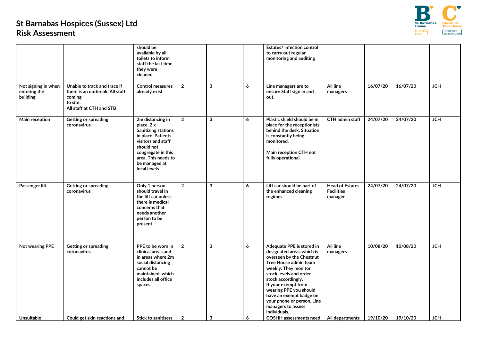

|                                                  |                                                                                                                   | should be<br>available by all<br>toilets to inform<br>staff the last time<br>they were<br>cleaned.                                                                                                    |                |              |   | Estates/ infection control<br>to carry out regular<br>monitoring and auditing                                                                                                                                                                                                                                                       |                                                        |          |          |            |
|--------------------------------------------------|-------------------------------------------------------------------------------------------------------------------|-------------------------------------------------------------------------------------------------------------------------------------------------------------------------------------------------------|----------------|--------------|---|-------------------------------------------------------------------------------------------------------------------------------------------------------------------------------------------------------------------------------------------------------------------------------------------------------------------------------------|--------------------------------------------------------|----------|----------|------------|
| Not signing in when<br>entering the<br>building. | Unable to track and trace if<br>there is an outbreak. All staff<br>coming<br>to site.<br>All staff at CTH and STB | <b>Control measures</b><br>already exist                                                                                                                                                              | $\overline{2}$ | 3            | 6 | Line managers are to<br>ensure Staff sign in and<br>out.                                                                                                                                                                                                                                                                            | All line<br>managers                                   | 16/07/20 | 16/07/20 | JCH        |
| Main reception                                   | Getting or spreading<br>coronavirus                                                                               | 2m distancing in<br>place. 2 x<br><b>Sanitizing stations</b><br>in place. Patients<br>visitors and staff<br>should not<br>congregate in this<br>area. This needs to<br>be managed at<br>local levels. | $\overline{2}$ | 3            | 6 | Plastic shield should be in<br>place for the receptionists<br>behind the desk. Situation<br>is constantly being<br>monitored.<br>Main reception CTH not<br>fully operational.                                                                                                                                                       | CTH admin staff                                        | 24/07/20 | 24/07/20 | <b>JCH</b> |
| Passenger lift                                   | Getting or spreading<br>coronavirus                                                                               | Only 1 person<br>should travel in<br>the lift car unless<br>there is medical<br>concerns that<br>needs another<br>person to be<br>present                                                             | $\overline{2}$ | $\mathbf{3}$ | 6 | Lift car should be part of<br>the enhanced cleaning<br>regimes.                                                                                                                                                                                                                                                                     | <b>Head of Estates</b><br><b>Facilities</b><br>manager | 24/07/20 | 24/07/20 | JCH        |
| Not wearing PPE                                  | Getting or spreading<br>coronavirus                                                                               | PPE to be worn in<br>clinical areas and<br>in areas where 2m<br>social distancing<br>cannot be<br>maintained, which<br>includes all office<br>spaces.                                                 | $\overline{2}$ | 3            | 6 | Adequate PPE is stored in<br>designated areas which is<br>overseen by the Chestnut<br>Tree House admin team<br>weekly. They monitor<br>stock levels and order<br>stock accordingly.<br>If your exempt from<br>wearing PPE you should<br>have an exempt badge on<br>your phone or person. Line<br>managers to assess<br>individuals. | All line<br>managers                                   | 10/08/20 | 10/08/20 | <b>JCH</b> |
| <b>Unsuitable</b>                                | Could get skin reactions and                                                                                      | <b>Stick to sanitisers</b>                                                                                                                                                                            | $\overline{2}$ | 3            | 6 | COSHH assessments need                                                                                                                                                                                                                                                                                                              | All departments                                        | 19/10/20 | 19/10/20 | <b>JCH</b> |